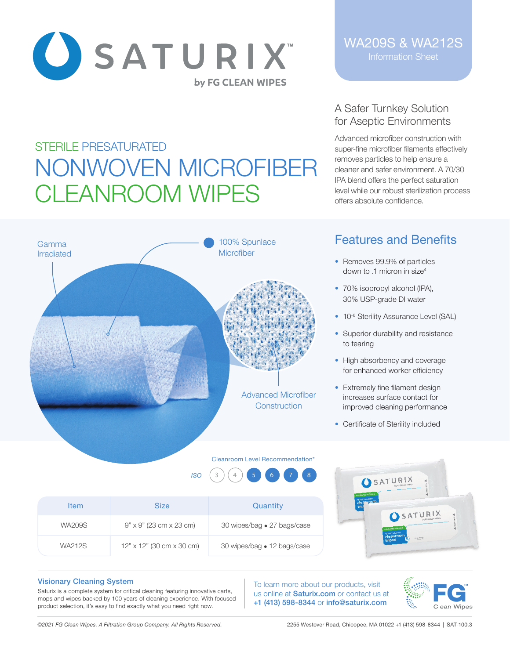

NONWOVEN MICROFIBER

CLEANROOM WIPES

## A Safer Turnkey Solution for Aseptic Environments

Advanced microfiber construction with super-fine microfiber filaments effectively removes particles to help ensure a cleaner and safer environment. A 70/30 IPA blend offers the perfect saturation level while our robust sterilization process offers absolute confidence.

# Features and Benefits

- Removes 99.9% of particles down to .1 micron in size<sup>4</sup>
- 70% isopropyl alcohol (IPA), 30% USP-grade DI water
- 10<sup>-6</sup> Sterility Assurance Level (SAL)
- Superior durability and resistance to tearing
- High absorbency and coverage for enhanced worker efficiency
- Extremely fine filament design increases surface contact for improved cleaning performance
- Certificate of Sterility included

#### Cleanroom Level Recommendation\*

Advanced Microfiber **Construction** 

| $150 \t(3) \t(4)$ 5 6 7 8 |  |  |
|---------------------------|--|--|
|                           |  |  |

100% Spunlace **Microfiber** 

| <b>Item</b>   | <b>Size</b>                           | Quantity                    |
|---------------|---------------------------------------|-----------------------------|
| WA209S        | $9" \times 9"$ (23 cm $\times$ 23 cm) | 30 wipes/bag • 27 bags/case |
| <b>WA212S</b> | 12" x 12" (30 cm x 30 cm)             | 30 wipes/bag • 12 bags/case |



### Visionary Cleaning System

Gamma Irradiated

STERILE PRESATURATED

Saturix is a complete system for critical cleaning featuring innovative carts, mops and wipes backed by 100 years of cleaning experience. With focused product selection, it's easy to find exactly what you need right now.

To learn more about our products, visit us online at **Saturix.com** or contact us at +1 (413) 598-8344 or info@saturix.com



*©2021 FG Clean Wipes. A Filtration Group Company. All Rights Reserved.* 2255 Westover Road, Chicopee, MA 01022 +1 (413) 598-8344 | SAT-100.3